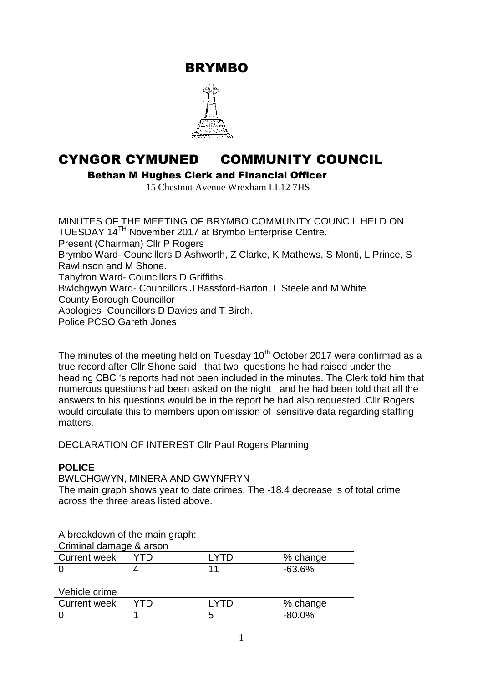BRYMBO



# CYNGOR CYMUNED COMMUNITY COUNCIL

Bethan M Hughes Clerk and Financial Officer

15 Chestnut Avenue Wrexham LL12 7HS

MINUTES OF THE MEETING OF BRYMBO COMMUNITY COUNCIL HELD ON TUESDAY 14TH November 2017 at Brymbo Enterprise Centre. Present (Chairman) Cllr P Rogers Brymbo Ward- Councillors D Ashworth, Z Clarke, K Mathews, S Monti, L Prince, S Rawlinson and M Shone. Tanyfron Ward- Councillors D Griffiths. Bwlchgwyn Ward- Councillors J Bassford-Barton, L Steele and M White County Borough Councillor Apologies- Councillors D Davies and T Birch. Police PCSO Gareth Jones

The minutes of the meeting held on Tuesday  $10<sup>th</sup>$  October 2017 were confirmed as a true record after Cllr Shone said that two questions he had raised under the heading CBC 's reports had not been included in the minutes. The Clerk told him that numerous questions had been asked on the night and he had been told that all the answers to his questions would be in the report he had also requested .Cllr Rogers would circulate this to members upon omission of sensitive data regarding staffing matters.

DECLARATION OF INTEREST Cllr Paul Rogers Planning

#### **POLICE**

BWLCHGWYN, MINERA AND GWYNFRYN

The main graph shows year to date crimes. The -18.4 decrease is of total crime across the three areas listed above.

A breakdown of the main graph:

Criminal damage & arson

| Current week |  |  | % change |
|--------------|--|--|----------|
|              |  |  | $-63.6%$ |

Vehicle crime

| Current week |  | % change      |
|--------------|--|---------------|
|              |  | $0\%$<br>-80- |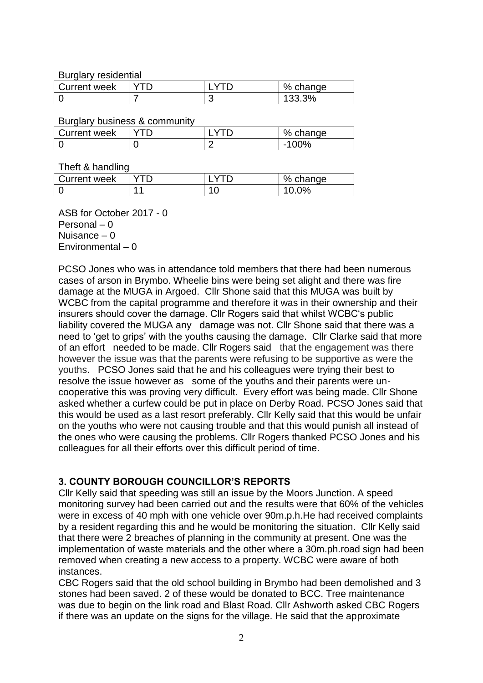Burglary residential

| Current week |  | % change |
|--------------|--|----------|
|              |  | '33.3%   |

Burglary business & community

| . .          |  |            |
|--------------|--|------------|
| Current week |  | %<br>nange |
|              |  | ገ0%<br>-   |
|              |  |            |

Theft & handling

| Current week |  | % change |
|--------------|--|----------|
|              |  | $0\%$    |

ASB for October 2017 - 0 Personal – 0 Nuisance – 0 Environmental – 0

PCSO Jones who was in attendance told members that there had been numerous cases of arson in Brymbo. Wheelie bins were being set alight and there was fire damage at the MUGA in Argoed. Cllr Shone said that this MUGA was built by WCBC from the capital programme and therefore it was in their ownership and their insurers should cover the damage. Cllr Rogers said that whilst WCBC's public liability covered the MUGA any damage was not. Cllr Shone said that there was a need to 'get to grips' with the youths causing the damage. Cllr Clarke said that more of an effort needed to be made. Cllr Rogers said that the engagement was there however the issue was that the parents were refusing to be supportive as were the youths. PCSO Jones said that he and his colleagues were trying their best to resolve the issue however as some of the youths and their parents were uncooperative this was proving very difficult. Every effort was being made. Cllr Shone asked whether a curfew could be put in place on Derby Road. PCSO Jones said that this would be used as a last resort preferably. Cllr Kelly said that this would be unfair on the youths who were not causing trouble and that this would punish all instead of the ones who were causing the problems. Cllr Rogers thanked PCSO Jones and his colleagues for all their efforts over this difficult period of time.

#### **3. COUNTY BOROUGH COUNCILLOR'S REPORTS**

Cllr Kelly said that speeding was still an issue by the Moors Junction. A speed monitoring survey had been carried out and the results were that 60% of the vehicles were in excess of 40 mph with one vehicle over 90m.p.h.He had received complaints by a resident regarding this and he would be monitoring the situation. Cllr Kelly said that there were 2 breaches of planning in the community at present. One was the implementation of waste materials and the other where a 30m.ph.road sign had been removed when creating a new access to a property. WCBC were aware of both instances.

CBC Rogers said that the old school building in Brymbo had been demolished and 3 stones had been saved. 2 of these would be donated to BCC. Tree maintenance was due to begin on the link road and Blast Road. Cllr Ashworth asked CBC Rogers if there was an update on the signs for the village. He said that the approximate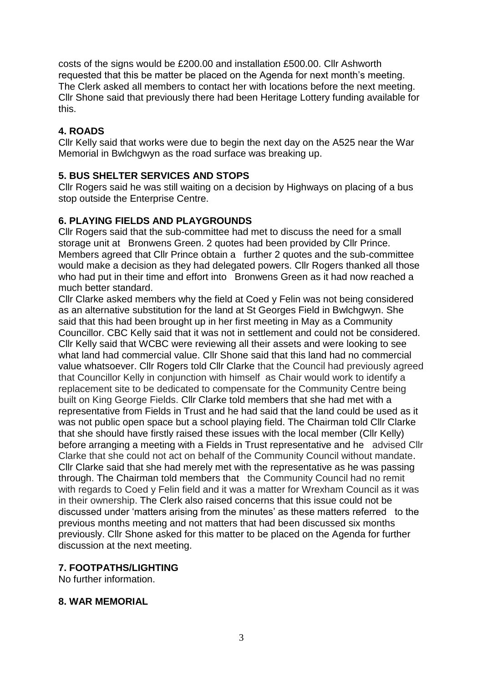costs of the signs would be £200.00 and installation £500.00. Cllr Ashworth requested that this be matter be placed on the Agenda for next month's meeting. The Clerk asked all members to contact her with locations before the next meeting. Cllr Shone said that previously there had been Heritage Lottery funding available for this.

# **4. ROADS**

Cllr Kelly said that works were due to begin the next day on the A525 near the War Memorial in Bwlchgwyn as the road surface was breaking up.

# **5. BUS SHELTER SERVICES AND STOPS**

Cllr Rogers said he was still waiting on a decision by Highways on placing of a bus stop outside the Enterprise Centre.

## **6. PLAYING FIELDS AND PLAYGROUNDS**

Cllr Rogers said that the sub-committee had met to discuss the need for a small storage unit at Bronwens Green. 2 quotes had been provided by Cllr Prince. Members agreed that Cllr Prince obtain a further 2 quotes and the sub-committee would make a decision as they had delegated powers. Cllr Rogers thanked all those who had put in their time and effort into Bronwens Green as it had now reached a much better standard.

Cllr Clarke asked members why the field at Coed y Felin was not being considered as an alternative substitution for the land at St Georges Field in Bwlchgwyn. She said that this had been brought up in her first meeting in May as a Community Councillor. CBC Kelly said that it was not in settlement and could not be considered. Cllr Kelly said that WCBC were reviewing all their assets and were looking to see what land had commercial value. Cllr Shone said that this land had no commercial value whatsoever. Cllr Rogers told Cllr Clarke that the Council had previously agreed that Councillor Kelly in conjunction with himself as Chair would work to identify a replacement site to be dedicated to compensate for the Community Centre being built on King George Fields. Cllr Clarke told members that she had met with a representative from Fields in Trust and he had said that the land could be used as it was not public open space but a school playing field. The Chairman told Cllr Clarke that she should have firstly raised these issues with the local member (Cllr Kelly) before arranging a meeting with a Fields in Trust representative and he advised Cllr Clarke that she could not act on behalf of the Community Council without mandate. Cllr Clarke said that she had merely met with the representative as he was passing through. The Chairman told members that the Community Council had no remit with regards to Coed y Felin field and it was a matter for Wrexham Council as it was in their ownership. The Clerk also raised concerns that this issue could not be discussed under 'matters arising from the minutes' as these matters referred to the previous months meeting and not matters that had been discussed six months previously. Cllr Shone asked for this matter to be placed on the Agenda for further discussion at the next meeting.

## **7. FOOTPATHS/LIGHTING**

No further information.

## **8. WAR MEMORIAL**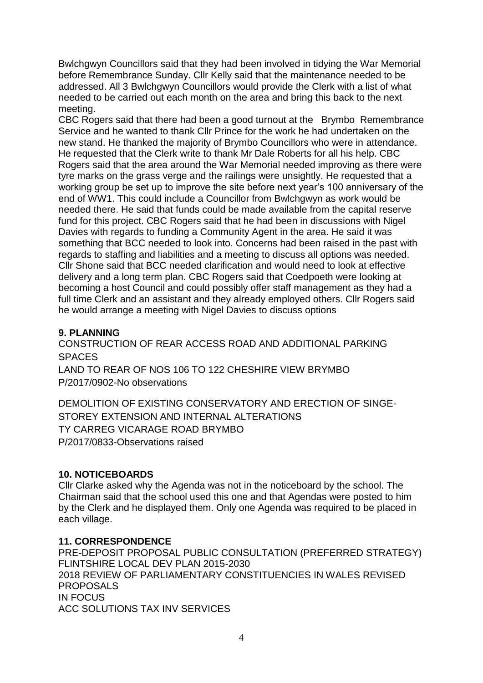Bwlchgwyn Councillors said that they had been involved in tidying the War Memorial before Remembrance Sunday. Cllr Kelly said that the maintenance needed to be addressed. All 3 Bwlchgwyn Councillors would provide the Clerk with a list of what needed to be carried out each month on the area and bring this back to the next meeting.

CBC Rogers said that there had been a good turnout at the Brymbo Remembrance Service and he wanted to thank Cllr Prince for the work he had undertaken on the new stand. He thanked the majority of Brymbo Councillors who were in attendance. He requested that the Clerk write to thank Mr Dale Roberts for all his help. CBC Rogers said that the area around the War Memorial needed improving as there were tyre marks on the grass verge and the railings were unsightly. He requested that a working group be set up to improve the site before next year's 100 anniversary of the end of WW1. This could include a Councillor from Bwlchgwyn as work would be needed there. He said that funds could be made available from the capital reserve fund for this project. CBC Rogers said that he had been in discussions with Nigel Davies with regards to funding a Community Agent in the area. He said it was something that BCC needed to look into. Concerns had been raised in the past with regards to staffing and liabilities and a meeting to discuss all options was needed. Cllr Shone said that BCC needed clarification and would need to look at effective delivery and a long term plan. CBC Rogers said that Coedpoeth were looking at becoming a host Council and could possibly offer staff management as they had a full time Clerk and an assistant and they already employed others. Cllr Rogers said he would arrange a meeting with Nigel Davies to discuss options

## **9. PLANNING**

CONSTRUCTION OF REAR ACCESS ROAD AND ADDITIONAL PARKING **SPACES** LAND TO REAR OF NOS 106 TO 122 CHESHIRE VIEW BRYMBO P/2017/0902-No observations

DEMOLITION OF EXISTING CONSERVATORY AND ERECTION OF SINGE-STOREY EXTENSION AND INTERNAL ALTERATIONS TY CARREG VICARAGE ROAD BRYMBO P/2017/0833-Observations raised

## **10. NOTICEBOARDS**

Cllr Clarke asked why the Agenda was not in the noticeboard by the school. The Chairman said that the school used this one and that Agendas were posted to him by the Clerk and he displayed them. Only one Agenda was required to be placed in each village.

#### **11. CORRESPONDENCE**

PRE-DEPOSIT PROPOSAL PUBLIC CONSULTATION (PREFERRED STRATEGY) FLINTSHIRE LOCAL DEV PLAN 2015-2030 2018 REVIEW OF PARLIAMENTARY CONSTITUENCIES IN WALES REVISED PROPOSALS IN FOCUS ACC SOLUTIONS TAX INV SERVICES